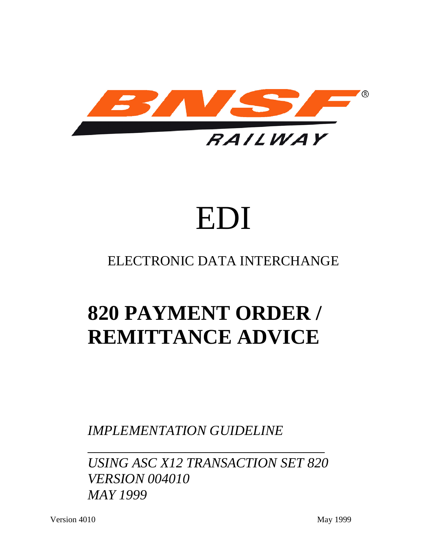

# EDI

## ELECTRONIC DATA INTERCHANGE

## **820 PAYMENT ORDER / REMITTANCE ADVICE**

*IMPLEMENTATION GUIDELINE*

 $\overline{\phantom{a}}$  ,  $\overline{\phantom{a}}$  ,  $\overline{\phantom{a}}$  ,  $\overline{\phantom{a}}$  ,  $\overline{\phantom{a}}$  ,  $\overline{\phantom{a}}$  ,  $\overline{\phantom{a}}$  ,  $\overline{\phantom{a}}$  ,  $\overline{\phantom{a}}$  ,  $\overline{\phantom{a}}$  ,  $\overline{\phantom{a}}$  ,  $\overline{\phantom{a}}$  ,  $\overline{\phantom{a}}$  ,  $\overline{\phantom{a}}$  ,  $\overline{\phantom{a}}$  ,  $\overline{\phantom{a}}$ 

 *USING ASC X12 TRANSACTION SET 820 VERSION 004010 MAY 1999*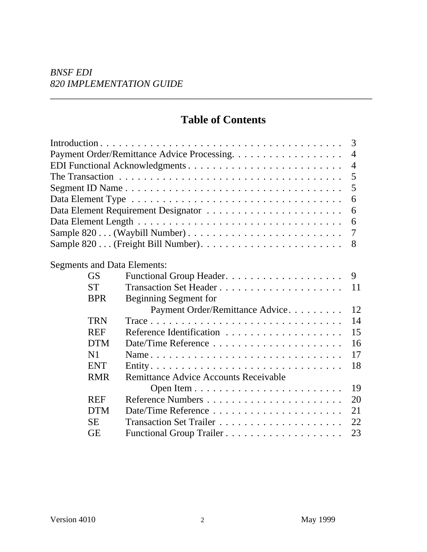## **Table of Contents**

|                | 3                                                                                                       |                |
|----------------|---------------------------------------------------------------------------------------------------------|----------------|
|                | Payment Order/Remittance Advice Processing.                                                             | $\overline{4}$ |
|                | EDI Functional Acknowledgments                                                                          | $\overline{4}$ |
|                | The Transaction $\ldots \ldots \ldots \ldots \ldots \ldots \ldots \ldots \ldots \ldots \ldots \ldots$   | 5              |
|                |                                                                                                         | 5              |
|                | Data Element Type $\ldots \ldots \ldots \ldots \ldots \ldots \ldots \ldots \ldots \ldots \ldots \ldots$ | 6              |
|                |                                                                                                         | 6              |
|                |                                                                                                         | 6              |
|                | 7                                                                                                       |                |
|                |                                                                                                         | 8              |
|                | <b>Segments and Data Elements:</b>                                                                      |                |
| <b>GS</b>      |                                                                                                         | 9              |
| <b>ST</b>      | Transaction Set Header                                                                                  | 11             |
| <b>BPR</b>     | Beginning Segment for                                                                                   |                |
|                | Payment Order/Remittance Advice.                                                                        | 12             |
| <b>TRN</b>     |                                                                                                         | 14             |
| <b>REF</b>     |                                                                                                         | 15             |
| <b>DTM</b>     |                                                                                                         | 16             |
| N <sub>1</sub> | Name                                                                                                    | 17             |
| <b>ENT</b>     |                                                                                                         | 18             |
| <b>RMR</b>     | Remittance Advice Accounts Receivable                                                                   |                |
|                |                                                                                                         | 19             |
| <b>REF</b>     |                                                                                                         | 20             |
| <b>DTM</b>     |                                                                                                         | 21             |
| <b>SE</b>      |                                                                                                         | 22             |
| <b>GE</b>      |                                                                                                         | 23             |
|                |                                                                                                         |                |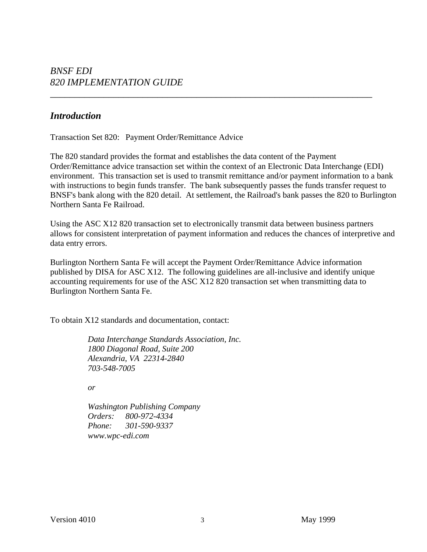## *Introduction*

Transaction Set 820: Payment Order/Remittance Advice

The 820 standard provides the format and establishes the data content of the Payment Order/Remittance advice transaction set within the context of an Electronic Data Interchange (EDI) environment. This transaction set is used to transmit remittance and/or payment information to a bank with instructions to begin funds transfer. The bank subsequently passes the funds transfer request to BNSF's bank along with the 820 detail. At settlement, the Railroad's bank passes the 820 to Burlington Northern Santa Fe Railroad.

\_\_\_\_\_\_\_\_\_\_\_\_\_\_\_\_\_\_\_\_\_\_\_\_\_\_\_\_\_\_\_\_\_\_\_\_\_\_\_\_\_\_\_\_\_\_\_\_\_\_\_\_\_\_\_\_\_\_\_\_\_\_\_\_\_\_

Using the ASC X12 820 transaction set to electronically transmit data between business partners allows for consistent interpretation of payment information and reduces the chances of interpretive and data entry errors.

Burlington Northern Santa Fe will accept the Payment Order/Remittance Advice information published by DISA for ASC X12. The following guidelines are all-inclusive and identify unique accounting requirements for use of the ASC X12 820 transaction set when transmitting data to Burlington Northern Santa Fe.

To obtain X12 standards and documentation, contact:

 *Data Interchange Standards Association, Inc. 1800 Diagonal Road, Suite 200 Alexandria, VA 22314-2840 703-548-7005*

 *or*

 *Washington Publishing Company Orders: 800-972-4334 Phone: 301-590-9337 www.wpc-edi.com*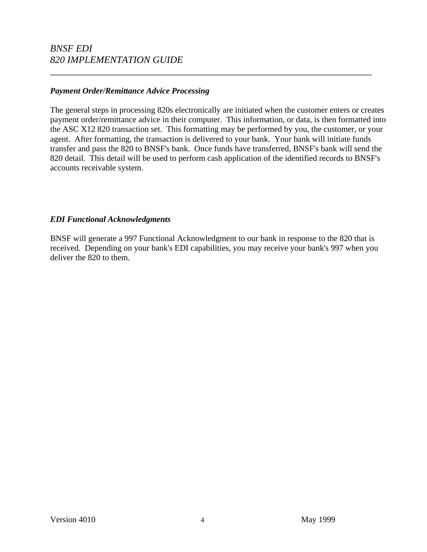#### *Payment Order/Remittance Advice Processing*

The general steps in processing 820s electronically are initiated when the customer enters or creates payment order/remittance advice in their computer. This information, or data, is then formatted into the ASC X12 820 transaction set. This formatting may be performed by you, the customer, or your agent. After formatting, the transaction is delivered to your bank. Your bank will initiate funds transfer and pass the 820 to BNSF's bank. Once funds have transferred, BNSF's bank will send the 820 detail. This detail will be used to perform cash application of the identified records to BNSF's accounts receivable system.

\_\_\_\_\_\_\_\_\_\_\_\_\_\_\_\_\_\_\_\_\_\_\_\_\_\_\_\_\_\_\_\_\_\_\_\_\_\_\_\_\_\_\_\_\_\_\_\_\_\_\_\_\_\_\_\_\_\_\_\_\_\_\_\_\_\_

#### *EDI Functional Acknowledgments*

BNSF will generate a 997 Functional Acknowledgment to our bank in response to the 820 that is received. Depending on your bank's EDI capabilities, you may receive your bank's 997 when you deliver the 820 to them.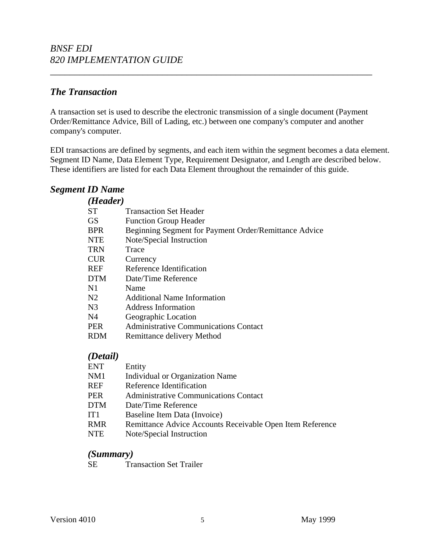#### *The Transaction*

A transaction set is used to describe the electronic transmission of a single document (Payment Order/Remittance Advice, Bill of Lading, etc.) between one company's computer and another company's computer.

\_\_\_\_\_\_\_\_\_\_\_\_\_\_\_\_\_\_\_\_\_\_\_\_\_\_\_\_\_\_\_\_\_\_\_\_\_\_\_\_\_\_\_\_\_\_\_\_\_\_\_\_\_\_\_\_\_\_\_\_\_\_\_\_\_\_

EDI transactions are defined by segments, and each item within the segment becomes a data element. Segment ID Name, Data Element Type, Requirement Designator, and Length are described below. These identifiers are listed for each Data Element throughout the remainder of this guide.

#### *Segment ID Name*

| ( <i>Header</i> ) |                                                       |
|-------------------|-------------------------------------------------------|
| <b>ST</b>         | <b>Transaction Set Header</b>                         |
| GS.               | <b>Function Group Header</b>                          |
| <b>BPR</b>        | Beginning Segment for Payment Order/Remittance Advice |
| <b>NTE</b>        | Note/Special Instruction                              |
| <b>TRN</b>        | Trace                                                 |
| <b>CUR</b>        | Currency                                              |
| <b>REF</b>        | Reference Identification                              |
| <b>DTM</b>        | Date/Time Reference                                   |
| $\mathbf{N}1$     | Name                                                  |
| N2                | <b>Additional Name Information</b>                    |
| N <sub>3</sub>    | Address Information                                   |
| N4                | Geographic Location                                   |
| <b>PER</b>        | <b>Administrative Communications Contact</b>          |
| RDM               | Remittance delivery Method                            |
|                   |                                                       |

#### *(Detail)*

| <b>ENT</b>      | Entity                                                    |
|-----------------|-----------------------------------------------------------|
| NM1             | Individual or Organization Name                           |
| <b>REF</b>      | Reference Identification                                  |
| <b>PER</b>      | <b>Administrative Communications Contact</b>              |
| <b>DTM</b>      | Date/Time Reference                                       |
| IT <sub>1</sub> | Baseline Item Data (Invoice)                              |
| <b>RMR</b>      | Remittance Advice Accounts Receivable Open Item Reference |
| <b>NTE</b>      | Note/Special Instruction                                  |

#### *(Summary)*

SE Transaction Set Trailer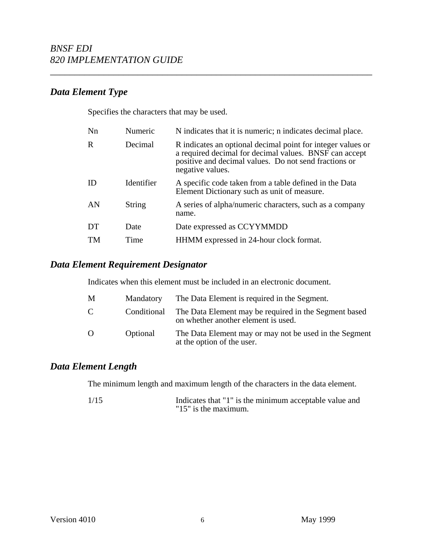## *Data Element Type*

Specifies the characters that may be used.

| N <sub>n</sub> | Numeric       | N indicates that it is numeric; n indicates decimal place.                                                                                                                                         |
|----------------|---------------|----------------------------------------------------------------------------------------------------------------------------------------------------------------------------------------------------|
| R              | Decimal       | R indicates an optional decimal point for integer values or<br>a required decimal for decimal values. BNSF can accept<br>positive and decimal values. Do not send fractions or<br>negative values. |
| ID             | Identifier    | A specific code taken from a table defined in the Data<br>Element Dictionary such as unit of measure.                                                                                              |
| AN             | <b>String</b> | A series of alpha/numeric characters, such as a company<br>name.                                                                                                                                   |
| DT             | Date          | Date expressed as CCYYMMDD                                                                                                                                                                         |
| TM             | Time          | HHMM expressed in 24-hour clock format.                                                                                                                                                            |

\_\_\_\_\_\_\_\_\_\_\_\_\_\_\_\_\_\_\_\_\_\_\_\_\_\_\_\_\_\_\_\_\_\_\_\_\_\_\_\_\_\_\_\_\_\_\_\_\_\_\_\_\_\_\_\_\_\_\_\_\_\_\_\_\_\_

#### *Data Element Requirement Designator*

Indicates when this element must be included in an electronic document.

| M             | Mandatory   | The Data Element is required in the Segment.                                                 |
|---------------|-------------|----------------------------------------------------------------------------------------------|
| $\mathcal{C}$ | Conditional | The Data Element may be required in the Segment based<br>on whether another element is used. |
| $\Omega$      | Optional    | The Data Element may or may not be used in the Segment<br>at the option of the user.         |

## *Data Element Length*

The minimum length and maximum length of the characters in the data element.

| 1/15 | Indicates that "1" is the minimum acceptable value and |
|------|--------------------------------------------------------|
|      | " $15$ " is the maximum.                               |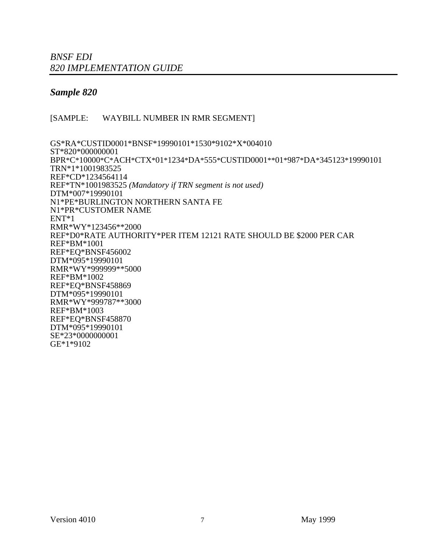#### *Sample 820*

#### [SAMPLE: WAYBILL NUMBER IN RMR SEGMENT]

GS\*RA\*CUSTID0001\*BNSF\*19990101\*1530\*9102\*X\*004010 ST\*820\*000000001 BPR\*C\*10000\*C\*ACH\*CTX\*01\*1234\*DA\*555\*CUSTID0001\*\*01\*987\*DA\*345123\*19990101 TRN\*1\*1001983525 REF\*CD\*1234564114 REF\*TN\*1001983525 *(Mandatory if TRN segment is not used)* DTM\*007\*19990101 N1\*PE\*BURLINGTON NORTHERN SANTA FE N1\*PR\*CUSTOMER NAME ENT\*1 RMR\*WY\*123456\*\*2000 REF\*D0\*RATE AUTHORITY\*PER ITEM 12121 RATE SHOULD BE \$2000 PER CAR REF\*BM\*1001 REF\*EQ\*BNSF456002 DTM\*095\*19990101 RMR\*WY\*999999\*\*5000 REF\*BM\*1002 REF\*EQ\*BNSF458869 DTM\*095\*19990101 RMR\*WY\*999787\*\*3000 REF\*BM\*1003 REF\*EQ\*BNSF458870 DTM\*095\*19990101 SE\*23\*0000000001 GE\*1\*9102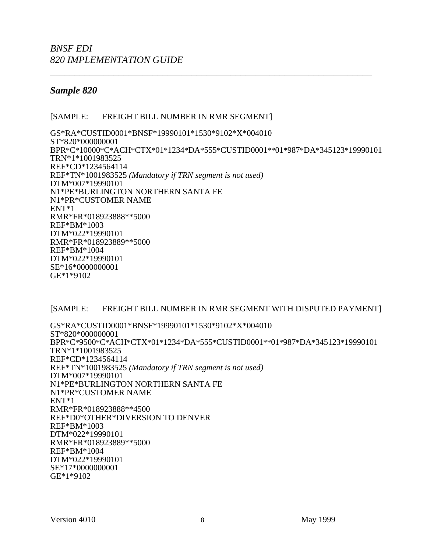#### *Sample 820*

#### [SAMPLE: FREIGHT BILL NUMBER IN RMR SEGMENT]

GS\*RA\*CUSTID0001\*BNSF\*19990101\*1530\*9102\*X\*004010 ST\*820\*000000001 BPR\*C\*10000\*C\*ACH\*CTX\*01\*1234\*DA\*555\*CUSTID0001\*\*01\*987\*DA\*345123\*19990101 TRN\*1\*1001983525 REF\*CD\*1234564114 REF\*TN\*1001983525 *(Mandatory if TRN segment is not used)* DTM\*007\*19990101 N1\*PE\*BURLINGTON NORTHERN SANTA FE N1\*PR\*CUSTOMER NAME ENT\*1 RMR\*FR\*018923888\*\*5000 REF\*BM\*1003 DTM\*022\*19990101 RMR\*FR\*018923889\*\*5000 REF\*BM\*1004 DTM\*022\*19990101 SE\*16\*0000000001 GE\*1\*9102

\_\_\_\_\_\_\_\_\_\_\_\_\_\_\_\_\_\_\_\_\_\_\_\_\_\_\_\_\_\_\_\_\_\_\_\_\_\_\_\_\_\_\_\_\_\_\_\_\_\_\_\_\_\_\_\_\_\_\_\_\_\_\_\_\_\_

#### [SAMPLE: FREIGHT BILL NUMBER IN RMR SEGMENT WITH DISPUTED PAYMENT]

GS\*RA\*CUSTID0001\*BNSF\*19990101\*1530\*9102\*X\*004010 ST\*820\*000000001 BPR\*C\*9500\*C\*ACH\*CTX\*01\*1234\*DA\*555\*CUSTID0001\*\*01\*987\*DA\*345123\*19990101 TRN\*1\*1001983525 REF\*CD\*1234564114 REF\*TN\*1001983525 *(Mandatory if TRN segment is not used)* DTM\*007\*19990101 N1\*PE\*BURLINGTON NORTHERN SANTA FE N1\*PR\*CUSTOMER NAME ENT\*1 RMR\*FR\*018923888\*\*4500 REF\*D0\*OTHER\*DIVERSION TO DENVER REF\*BM\*1003 DTM\*022\*19990101 RMR\*FR\*018923889\*\*5000 REF\*BM\*1004 DTM\*022\*19990101 SE\*17\*0000000001 GE\*1\*9102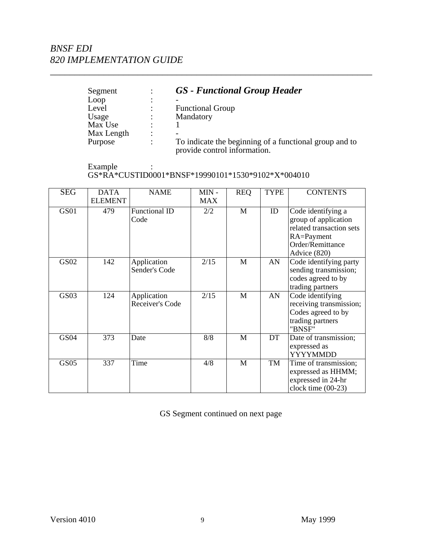| Segment    |                | <b>GS</b> - Functional Group Header                                                    |
|------------|----------------|----------------------------------------------------------------------------------------|
| Loop       | $\bullet$      |                                                                                        |
| Level      |                | <b>Functional Group</b>                                                                |
| Usage      | $\ddot{\cdot}$ | Mandatory                                                                              |
| Max Use    |                |                                                                                        |
| Max Length | $\bullet$      |                                                                                        |
| Purpose    | $\bullet$      | To indicate the beginning of a functional group and to<br>provide control information. |

\_\_\_\_\_\_\_\_\_\_\_\_\_\_\_\_\_\_\_\_\_\_\_\_\_\_\_\_\_\_\_\_\_\_\_\_\_\_\_\_\_\_\_\_\_\_\_\_\_\_\_\_\_\_\_\_\_\_\_\_\_\_\_\_\_\_

Example : GS\*RA\*CUSTID0001\*BNSF\*19990101\*1530\*9102\*X\*004010

| <b>SEG</b>  | <b>DATA</b><br><b>ELEMENT</b> | <b>NAME</b>                    | MIN-<br>MAX | <b>REQ</b>   | <b>TYPE</b> | <b>CONTENTS</b>                                                                                                          |
|-------------|-------------------------------|--------------------------------|-------------|--------------|-------------|--------------------------------------------------------------------------------------------------------------------------|
| GS01        | 479                           | <b>Functional ID</b><br>Code   | 2/2         | $\mathbf{M}$ | ID          | Code identifying a<br>group of application<br>related transaction sets<br>RA=Payment<br>Order/Remittance<br>Advice (820) |
| GS02        | 142                           | Application<br>Sender's Code   | 2/15        | M            | AN          | Code identifying party<br>sending transmission;<br>codes agreed to by<br>trading partners                                |
| GS03        | 124                           | Application<br>Receiver's Code | 2/15        | M            | AN          | Code identifying<br>receiving transmission;<br>Codes agreed to by<br>trading partners<br>"BNSF"                          |
| <b>GS04</b> | 373                           | Date                           | 8/8         | M            | DT          | Date of transmission;<br>expressed as<br>YYYYMMDD                                                                        |
| <b>GS05</b> | 337                           | Time                           | 4/8         | $\mathbf{M}$ | TM          | Time of transmission;<br>expressed as HHMM;<br>expressed in 24-hr<br>clock time $(00-23)$                                |

GS Segment continued on next page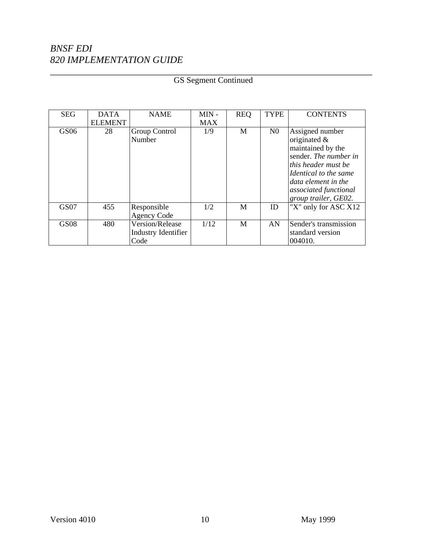| <b>SEG</b>  | <b>DATA</b>    | <b>NAME</b>                                    | $MIN -$    | <b>REQ</b> | <b>TYPE</b>    | <b>CONTENTS</b>                                                                                                                                                                                          |
|-------------|----------------|------------------------------------------------|------------|------------|----------------|----------------------------------------------------------------------------------------------------------------------------------------------------------------------------------------------------------|
|             | <b>ELEMENT</b> |                                                | <b>MAX</b> |            |                |                                                                                                                                                                                                          |
| GS06        | 28             | <b>Group Control</b><br>Number                 | 1/9        | M          | N <sub>0</sub> | Assigned number<br>originated $\&$<br>maintained by the<br>sender. The number in<br>this header must be<br>Identical to the same<br>data element in the<br>associated functional<br>group trailer, GE02. |
| GS07        | 455            | Responsible<br><b>Agency Code</b>              | 1/2        | M          | ID             | "X" only for ASC X12                                                                                                                                                                                     |
| <b>GS08</b> | 480            | Version/Release<br>Industry Identifier<br>Code | 1/12       | M          | AN             | Sender's transmission<br>standard version<br>004010.                                                                                                                                                     |

#### \_\_\_\_\_\_\_\_\_\_\_\_\_\_\_\_\_\_\_\_\_\_\_\_\_\_\_\_\_\_\_\_\_\_\_\_\_\_\_\_\_\_\_\_\_\_\_\_\_\_\_\_\_\_\_\_\_\_\_\_\_\_\_\_\_\_ GS Segment Continued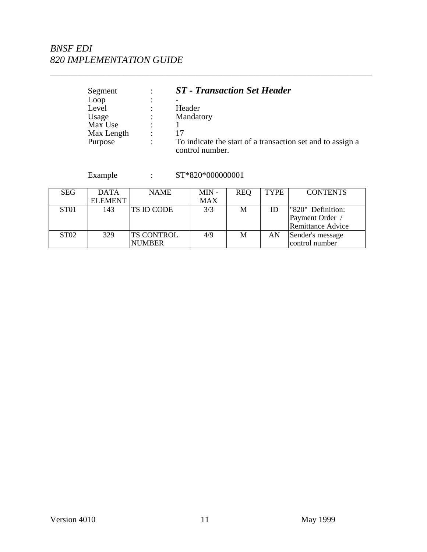| Segment    | $\bullet$      | <b>ST</b> - Transaction Set Header                                            |
|------------|----------------|-------------------------------------------------------------------------------|
| Loop       | $\ddot{\cdot}$ |                                                                               |
| Level      | $\ddot{\cdot}$ | Header                                                                        |
| Usage      | $\ddot{\cdot}$ | Mandatory                                                                     |
| Max Use    | $\bullet$      |                                                                               |
| Max Length | $\bullet$      |                                                                               |
| Purpose    | $\ddot{\cdot}$ | To indicate the start of a transaction set and to assign a<br>control number. |

\_\_\_\_\_\_\_\_\_\_\_\_\_\_\_\_\_\_\_\_\_\_\_\_\_\_\_\_\_\_\_\_\_\_\_\_\_\_\_\_\_\_\_\_\_\_\_\_\_\_\_\_\_\_\_\_\_\_\_\_\_\_\_\_\_\_

Example : ST\*820\*000000001

| <b>SEG</b>       | <b>DATA</b><br><b>ELEMENT</b> | <b>NAME</b>       | $MIN -$<br><b>MAX</b> | <b>REQ</b> | TYPE | <b>CONTENTS</b>          |
|------------------|-------------------------------|-------------------|-----------------------|------------|------|--------------------------|
|                  |                               |                   |                       |            |      |                          |
| ST <sub>01</sub> | 143                           | TS ID CODE        | 3/3                   | М          |      | "820" Definition:        |
|                  |                               |                   |                       |            |      | Payment Order            |
|                  |                               |                   |                       |            |      | <b>Remittance Advice</b> |
| ST02             | 329                           | <b>TS CONTROL</b> | 4/9                   | M          | AN   | Sender's message         |
|                  |                               | <b>NUMBER</b>     |                       |            |      | control number           |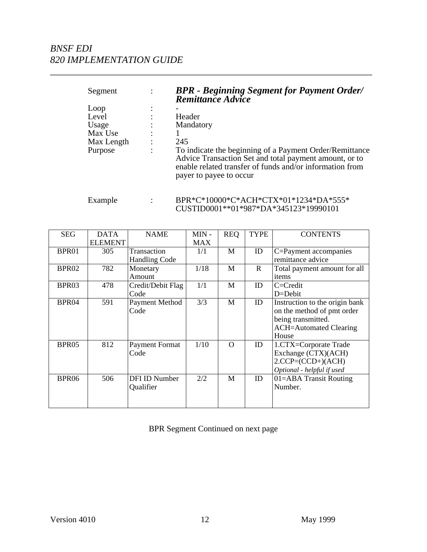| Segment    |   | <b>BPR - Beginning Segment for Payment Order/<br/>Remittance Advice</b>                                                                                                                                  |
|------------|---|----------------------------------------------------------------------------------------------------------------------------------------------------------------------------------------------------------|
| Loop       |   |                                                                                                                                                                                                          |
| Level      |   | Header                                                                                                                                                                                                   |
| Usage      |   | Mandatory                                                                                                                                                                                                |
| Max Use    | ٠ |                                                                                                                                                                                                          |
| Max Length | ٠ | 245                                                                                                                                                                                                      |
| Purpose    |   | To indicate the beginning of a Payment Order/Remittance<br>Advice Transaction Set and total payment amount, or to<br>enable related transfer of funds and/or information from<br>payer to payee to occur |

\_\_\_\_\_\_\_\_\_\_\_\_\_\_\_\_\_\_\_\_\_\_\_\_\_\_\_\_\_\_\_\_\_\_\_\_\_\_\_\_\_\_\_\_\_\_\_\_\_\_\_\_\_\_\_\_\_\_\_\_\_\_\_\_\_\_

| Example | BPR*C*10000*C*ACH*CTX*01*1234*DA*555* |
|---------|---------------------------------------|
|         | CUSTID0001**01*987*DA*345123*19990101 |

| <b>SEG</b>        | <b>DATA</b><br><b>ELEMENT</b> | <b>NAME</b>                                | $MIN -$<br><b>MAX</b> | <b>REQ</b> | <b>TYPE</b>  | <b>CONTENTS</b>                                                                                                              |
|-------------------|-------------------------------|--------------------------------------------|-----------------------|------------|--------------|------------------------------------------------------------------------------------------------------------------------------|
| BPR01             | 305                           | <b>Transaction</b><br><b>Handling Code</b> | 1/1                   | M          | ID           | C=Payment accompanies<br>remittance advice                                                                                   |
| BPR <sub>02</sub> | 782                           | Monetary<br>Amount                         | 1/18                  | M          | $\mathbf{R}$ | Total payment amount for all<br>items                                                                                        |
| BPR <sub>03</sub> | 478                           | Credit/Debit Flag<br>Code                  | 1/1                   | M          | ID           | C=Credit<br>D=Debit                                                                                                          |
| BPR <sub>04</sub> | 591                           | Payment Method<br>Code                     | 3/3                   | M          | ID           | Instruction to the origin bank<br>on the method of pmt order<br>being transmitted.<br><b>ACH=Automated Clearing</b><br>House |
| BPR <sub>05</sub> | 812                           | <b>Payment Format</b><br>Code              | 1/10                  | $\Omega$   | ID           | 1.CTX=Corporate Trade<br>Exchange (CTX)(ACH)<br>$2.CCP=(CCD+)(ACH)$<br>Optional - helpful if used                            |
| BPR <sub>06</sub> | 506                           | DFI ID Number<br>Qualifier                 | 2/2                   | M          | ID           | 01=ABA Transit Routing<br>Number.                                                                                            |

BPR Segment Continued on next page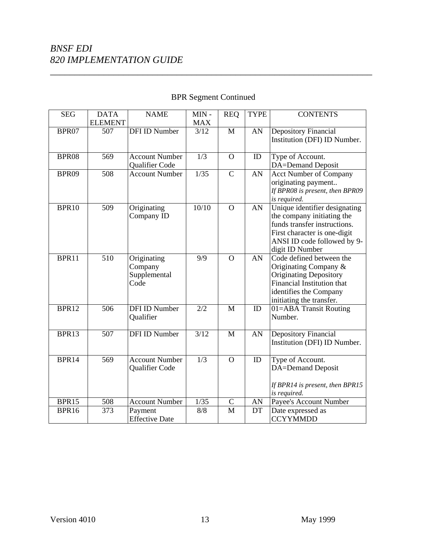| <b>SEG</b>   | <b>DATA</b>      | <b>NAME</b>           | $MIN -$    | <b>REQ</b>              | <b>TYPE</b> | <b>CONTENTS</b>                 |
|--------------|------------------|-----------------------|------------|-------------------------|-------------|---------------------------------|
|              | <b>ELEMENT</b>   |                       | <b>MAX</b> |                         |             |                                 |
| BPR07        | 507              | <b>DFI ID Number</b>  | 3/12       | M                       | AN          | Depository Financial            |
|              |                  |                       |            |                         |             | Institution (DFI) ID Number.    |
|              |                  |                       |            |                         |             |                                 |
| BPR08        | 569              | <b>Account Number</b> | 1/3        | $\mathbf{O}$            | ID          | Type of Account.                |
|              |                  | Qualifier Code        |            |                         |             | DA=Demand Deposit               |
| BPR09        | 508              | <b>Account Number</b> | 1/35       | $\mathbf C$             | AN          | <b>Acct Number of Company</b>   |
|              |                  |                       |            |                         |             | originating payment             |
|              |                  |                       |            |                         |             | If BPR08 is present, then BPR09 |
|              |                  |                       |            |                         |             | is required.                    |
| <b>BPR10</b> | 509              | Originating           | 10/10      | $\mathbf{O}$            | AN          | Unique identifier designating   |
|              |                  | Company ID            |            |                         |             | the company initiating the      |
|              |                  |                       |            |                         |             | funds transfer instructions.    |
|              |                  |                       |            |                         |             | First character is one-digit    |
|              |                  |                       |            |                         |             | ANSI ID code followed by 9-     |
|              |                  |                       |            |                         |             | digit ID Number                 |
| BPR11        | 510              | Originating           | 9/9        | $\mathbf{O}$            | AN          | Code defined between the        |
|              |                  | Company               |            |                         |             | Originating Company &           |
|              |                  | Supplemental          |            |                         |             | <b>Originating Depository</b>   |
|              |                  | Code                  |            |                         |             | Financial Institution that      |
|              |                  |                       |            |                         |             | identifies the Company          |
|              |                  |                       |            |                         |             | initiating the transfer.        |
| BPR12        | 506              | DFI ID Number         | 2/2        | M                       | ID          | 01=ABA Transit Routing          |
|              |                  | Qualifier             |            |                         |             | Number.                         |
| BPR13        | 507              | <b>DFI ID Number</b>  | 3/12       | $\mathbf{M}$            | AN          | <b>Depository Financial</b>     |
|              |                  |                       |            |                         |             | Institution (DFI) ID Number.    |
|              |                  |                       |            |                         |             |                                 |
| BPR14        | 569              | <b>Account Number</b> | 1/3        | $\mathbf{O}$            | ID          | Type of Account.                |
|              |                  | Qualifier Code        |            |                         |             | <b>DA=Demand Deposit</b>        |
|              |                  |                       |            |                         |             | If BPR14 is present, then BPR15 |
|              |                  |                       |            |                         |             | is required.                    |
| BPR15        | 508              | <b>Account Number</b> | 1/35       | $\mathbf C$             | AN          | Payee's Account Number          |
| BPR16        | $\overline{373}$ | Payment               | 8/8        | $\overline{\mathbf{M}}$ | DT          | Date expressed as               |
|              |                  | <b>Effective Date</b> |            |                         |             | <b>CCYYMMDD</b>                 |

## BPR Segment Continued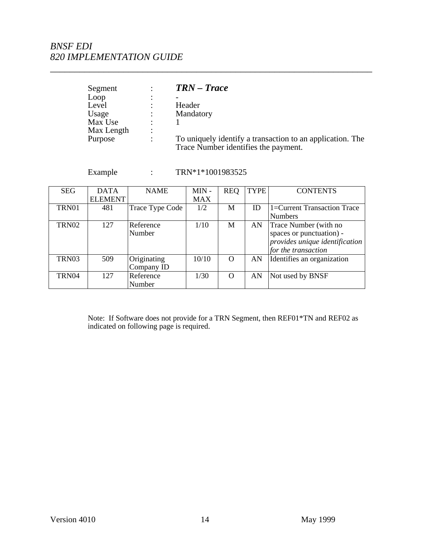| Segment    | TRN – Trace                                                                                       |
|------------|---------------------------------------------------------------------------------------------------|
| Loop       |                                                                                                   |
| Level      | Header                                                                                            |
| Usage      | Mandatory                                                                                         |
| Max Use    |                                                                                                   |
| Max Length |                                                                                                   |
| Purpose    | To uniquely identify a transaction to an application. The<br>Trace Number identifies the payment. |

\_\_\_\_\_\_\_\_\_\_\_\_\_\_\_\_\_\_\_\_\_\_\_\_\_\_\_\_\_\_\_\_\_\_\_\_\_\_\_\_\_\_\_\_\_\_\_\_\_\_\_\_\_\_\_\_\_\_\_\_\_\_\_\_\_\_

Example : TRN\*1\*1001983525

| <b>SEG</b> | <b>DATA</b>    | <b>NAME</b>         | $MIN -$    | <b>REQ</b> | <b>TYPE</b> | <b>CONTENTS</b>                                                                                            |
|------------|----------------|---------------------|------------|------------|-------------|------------------------------------------------------------------------------------------------------------|
|            | <b>ELEMENT</b> |                     | <b>MAX</b> |            |             |                                                                                                            |
| TRN01      | 481            | Trace Type Code     | 1/2        | M          | ID.         | 1=Current Transaction Trace                                                                                |
|            |                |                     |            |            |             | <b>Numbers</b>                                                                                             |
| TRN02      | 127            | Reference<br>Number | 1/10       | M          | AN          | Trace Number (with no<br>spaces or punctuation) -<br>provides unique identification<br>for the transaction |
| TRN03      | 509            | Originating         | 10/10      | $\Omega$   | AN          | Identifies an organization                                                                                 |
|            |                | Company ID          |            |            |             |                                                                                                            |
| TRN04      | 127            | Reference<br>Number | 1/30       | $\Omega$   | AN          | Not used by BNSF                                                                                           |

 Note: If Software does not provide for a TRN Segment, then REF01\*TN and REF02 as indicated on following page is required.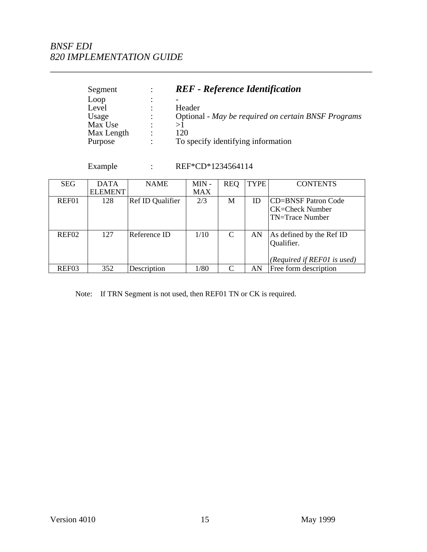| Segment    | $\bullet$            | <b>REF</b> - Reference Identification               |
|------------|----------------------|-----------------------------------------------------|
| Loop       | ٠<br>$\bullet$       | -                                                   |
| Level      |                      | Header                                              |
| Usage      | $\ddot{\phantom{a}}$ | Optional - May be required on certain BNSF Programs |
| Max Use    | ٠                    |                                                     |
| Max Length | ٠                    | 120                                                 |
| Purpose    | $\ddot{\phantom{a}}$ | To specify identifying information                  |
|            |                      |                                                     |

Example : REF\*CD\*1234564114

\_\_\_\_\_\_\_\_\_\_\_\_\_\_\_\_\_\_\_\_\_\_\_\_\_\_\_\_\_\_\_\_\_\_\_\_\_\_\_\_\_\_\_\_\_\_\_\_\_\_\_\_\_\_\_\_\_\_\_\_\_\_\_\_\_\_

| <b>SEG</b>        | <b>DATA</b>    | <b>NAME</b>             | $MIN -$    | <b>REQ</b> | <b>TYPE</b> | <b>CONTENTS</b>               |
|-------------------|----------------|-------------------------|------------|------------|-------------|-------------------------------|
|                   | <b>ELEMENT</b> |                         | <b>MAX</b> |            |             |                               |
| REF01             | 128            | <b>Ref ID Qualifier</b> | 2/3        | М          | ID          | <b>CD=BNSF Patron Code</b>    |
|                   |                |                         |            |            |             | CK=Check Number               |
|                   |                |                         |            |            |             | TN=Trace Number               |
|                   |                |                         |            |            |             |                               |
| REF <sub>02</sub> | 127            | Reference ID            | 1/10       | C          | AN          | As defined by the Ref ID      |
|                   |                |                         |            |            |             | Qualifier.                    |
|                   |                |                         |            |            |             |                               |
|                   |                |                         |            |            |             | (Required if $REFO1$ is used) |
| REF <sub>03</sub> | 352            | Description             | 1/80       | $\Gamma$   | AN          | Free form description         |

Note: If TRN Segment is not used, then REF01 TN or CK is required.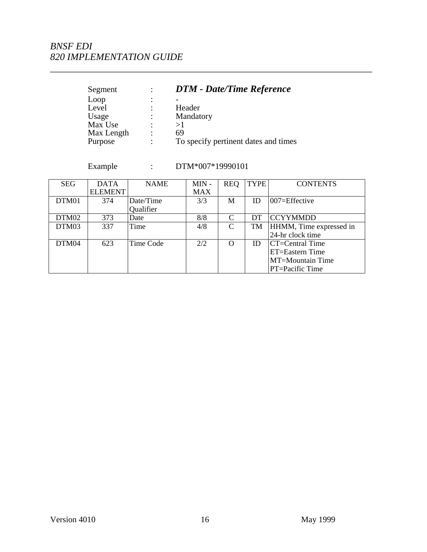## Segment : *DTM - Date/Time Reference*

| ٠ |                                      |
|---|--------------------------------------|
|   | Header                               |
| ٠ | Mandatory                            |
| ٠ |                                      |
| ٠ | 69                                   |
|   | To specify pertinent dates and times |
|   |                                      |

Example : DTM\*007\*19990101

| <b>SEG</b> | <b>DATA</b><br><b>ELEMENT</b> | <b>NAME</b>            | $MIN -$<br><b>MAX</b> | <b>REQ</b>                  | <b>TYPE</b> | <b>CONTENTS</b>         |
|------------|-------------------------------|------------------------|-----------------------|-----------------------------|-------------|-------------------------|
| DTM01      | 374                           | Date/Time<br>Qualifier | 3/3                   | М                           | ID          | $ 007 =$ Effective      |
| DTM02      | 373                           | Date                   | 8/8                   | C                           | DТ          | <b>CCYYMMDD</b>         |
| DTM03      | 337                           | Time                   | 4/8                   | $\mathcal{C}_{\mathcal{C}}$ | <b>TM</b>   | HHMM, Time expressed in |
|            |                               |                        |                       |                             |             | 24-hr clock time        |
| DTM04      | 623                           | Time Code              | 2/2                   |                             | ID          | CT=Central Time         |
|            |                               |                        |                       |                             |             | ET=Eastern Time         |
|            |                               |                        |                       |                             |             | MT=Mountain Time        |
|            |                               |                        |                       |                             |             | PT=Pacific Time         |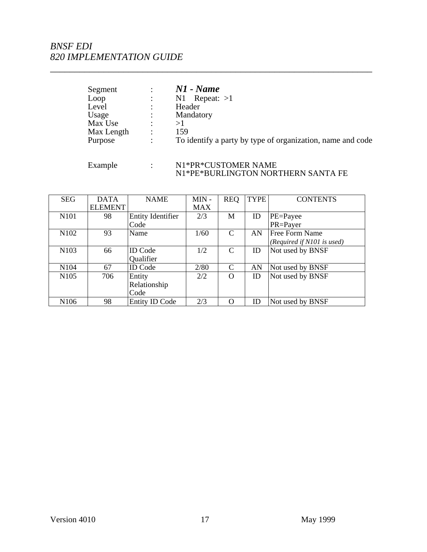| Segment    | ٠              | $NI$ - Name                                                |
|------------|----------------|------------------------------------------------------------|
| Loop       | $\ddot{\cdot}$ | Repeat: $>1$<br>N1                                         |
| Level      | ٠              | Header                                                     |
| Usage      | $\ddot{\cdot}$ | Mandatory                                                  |
| Max Use    | ٠              | >1                                                         |
| Max Length | $\ddot{\cdot}$ | 159                                                        |
| Purpose    | $\ddot{\cdot}$ | To identify a party by type of organization, name and code |
|            |                |                                                            |

#### Example : N1\*PR\*CUSTOMER NAME N1\*PE\*BURLINGTON NORTHERN SANTA FE

| <b>SEG</b>        | <b>DATA</b>    | <b>NAME</b>              | $MIN -$    | <b>REQ</b>    | <b>TYPE</b> | <b>CONTENTS</b>            |
|-------------------|----------------|--------------------------|------------|---------------|-------------|----------------------------|
|                   | <b>ELEMENT</b> |                          | <b>MAX</b> |               |             |                            |
| N101              | 98             | <b>Entity Identifier</b> | 2/3        | M             | ID          | PE=Payee                   |
|                   |                | Code                     |            |               |             | PR=Payer                   |
| N <sub>1</sub> 02 | 93             | Name                     | 1/60       | $\mathcal{C}$ | AN          | <b>Free Form Name</b>      |
|                   |                |                          |            |               |             | (Required if N101 is used) |
| N <sub>10</sub> 3 | 66             | <b>ID</b> Code           | 1/2        | $\mathcal{C}$ | ID          | Not used by BNSF           |
|                   |                | Qualifier                |            |               |             |                            |
| N104              | 67             | <b>ID</b> Code           | 2/80       | C             | AN          | Not used by BNSF           |
| N <sub>105</sub>  | 706            | Entity                   | 2/2        | $\Omega$      | ID          | Not used by BNSF           |
|                   |                | Relationship             |            |               |             |                            |
|                   |                | Code                     |            |               |             |                            |
| N106              | 98             | <b>Entity ID Code</b>    | 2/3        |               | ID          | Not used by BNSF           |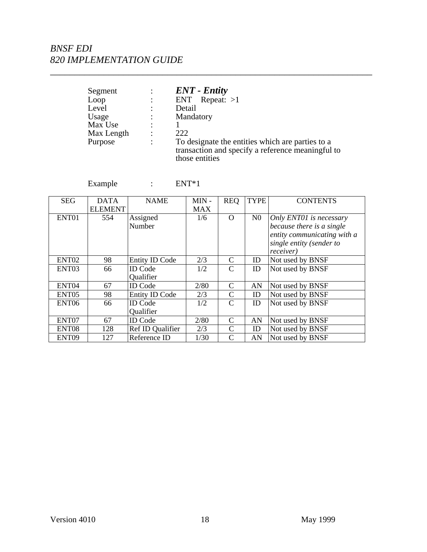| Segment    | <b>ENT</b> - <b>Entity</b>                                                                                              |
|------------|-------------------------------------------------------------------------------------------------------------------------|
| Loop       | ENT Repeat: $>1$                                                                                                        |
| Level      | Detail                                                                                                                  |
| Usage      | Mandatory                                                                                                               |
| Max Use    |                                                                                                                         |
| Max Length | 222                                                                                                                     |
| Purpose    | To designate the entities which are parties to a<br>transaction and specify a reference meaningful to<br>those entities |

\_\_\_\_\_\_\_\_\_\_\_\_\_\_\_\_\_\_\_\_\_\_\_\_\_\_\_\_\_\_\_\_\_\_\_\_\_\_\_\_\_\_\_\_\_\_\_\_\_\_\_\_\_\_\_\_\_\_\_\_\_\_\_\_\_\_

Example : ENT<sup>\*</sup>1

| <b>SEG</b>        | <b>DATA</b>    | <b>NAME</b>           | $MIN -$    | <b>REQ</b>    | <b>TYPE</b>    | <b>CONTENTS</b>             |
|-------------------|----------------|-----------------------|------------|---------------|----------------|-----------------------------|
|                   | <b>ELEMENT</b> |                       | <b>MAX</b> |               |                |                             |
| ENT <sub>01</sub> | 554            | Assigned              | 1/6        | $\Omega$      | N <sub>0</sub> | Only ENT01 is necessary     |
|                   |                | Number                |            |               |                | because there is a single   |
|                   |                |                       |            |               |                | entity communicating with a |
|                   |                |                       |            |               |                | single entity (sender to    |
|                   |                |                       |            |               |                | receiver)                   |
| ENT <sub>02</sub> | 98             | <b>Entity ID Code</b> | 2/3        | $\mathcal{C}$ | ID             | Not used by BNSF            |
| ENT <sub>03</sub> | 66             | <b>ID</b> Code        | 1/2        | $\mathcal{C}$ | ID             | Not used by BNSF            |
|                   |                | <b>Oualifier</b>      |            |               |                |                             |
| ENT04             | 67             | <b>ID</b> Code        | 2/80       | $\mathcal{C}$ | AN             | Not used by BNSF            |
| ENT <sub>05</sub> | 98             | Entity ID Code        | 2/3        | $\mathcal{C}$ | ID             | Not used by BNSF            |
| ENT <sub>06</sub> | 66             | <b>ID</b> Code        | 1/2        | $\mathcal{C}$ | ID             | Not used by BNSF            |
|                   |                | Qualifier             |            |               |                |                             |
| ENT07             | 67             | <b>ID</b> Code        | 2/80       | $\mathcal{C}$ | AN             | Not used by BNSF            |
| ENT08             | 128            | Ref ID Qualifier      | 2/3        | $\mathsf{C}$  | ID             | Not used by BNSF            |
| ENT09             | 127            | Reference ID          | 1/30       | $\mathsf{C}$  | AN             | Not used by BNSF            |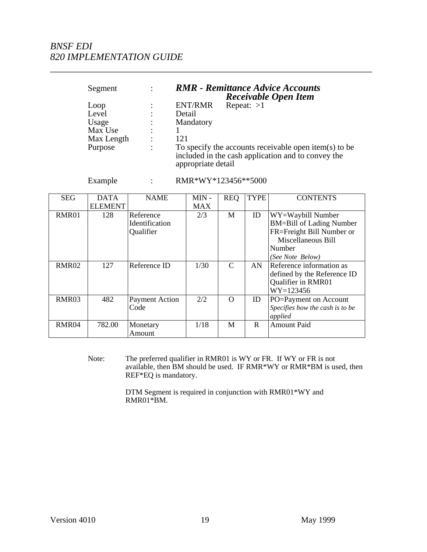| Segment    |                      | <b>RMR</b> - Remittance Advice Accounts<br><b>Receivable Open Item</b>                                                            |
|------------|----------------------|-----------------------------------------------------------------------------------------------------------------------------------|
| Loop       |                      | <b>ENT/RMR</b><br>Repeat: $>1$                                                                                                    |
| Level      |                      | Detail                                                                                                                            |
| Usage      | $\ddot{\cdot}$       | Mandatory                                                                                                                         |
| Max Use    | $\bullet$            |                                                                                                                                   |
| Max Length |                      | 121                                                                                                                               |
| Purpose    | $\ddot{\phantom{a}}$ | To specify the accounts receivable open item(s) to be<br>included in the cash application and to convey the<br>appropriate detail |

\_\_\_\_\_\_\_\_\_\_\_\_\_\_\_\_\_\_\_\_\_\_\_\_\_\_\_\_\_\_\_\_\_\_\_\_\_\_\_\_\_\_\_\_\_\_\_\_\_\_\_\_\_\_\_\_\_\_\_\_\_\_\_\_\_\_

Example : RMR\*WY\*123456\*\*5000

| <b>SEG</b>        | <b>DATA</b><br><b>ELEMENT</b> | <b>NAME</b>                              | $MIN -$<br><b>MAX</b> | <b>REQ</b>    | <b>TYPE</b> | <b>CONTENTS</b>                                                                                                                       |
|-------------------|-------------------------------|------------------------------------------|-----------------------|---------------|-------------|---------------------------------------------------------------------------------------------------------------------------------------|
| RMR01             | 128                           | Reference<br>Identification<br>Qualifier | 2/3                   | M             | ID          | WY=Waybill Number<br><b>BM=Bill of Lading Number</b><br>FR=Freight Bill Number or<br>Miscellaneous Bill<br>Number<br>(See Note Below) |
| RMR <sub>02</sub> | 127                           | Reference ID                             | 1/30                  | $\mathcal{C}$ | AN          | Reference information as<br>defined by the Reference ID<br>Qualifier in RMR01<br>$WY = 123456$                                        |
| RMR <sub>03</sub> | 482                           | <b>Payment Action</b><br>Code            | 2/2                   | $\Omega$      | ID          | PO=Payment on Account<br>Specifies how the cash is to be<br>applied                                                                   |
| RMR <sub>04</sub> | 782.00                        | Monetary<br>Amount                       | 1/18                  | M             | R           | <b>Amount Paid</b>                                                                                                                    |

Note: The preferred qualifier in RMR01 is WY or FR. If WY or FR is not available, then BM should be used. IF RMR\*WY or RMR\*BM is used, then REF\*EQ is mandatory.

> DTM Segment is required in conjunction with RMR01\*WY and RMR01\*BM.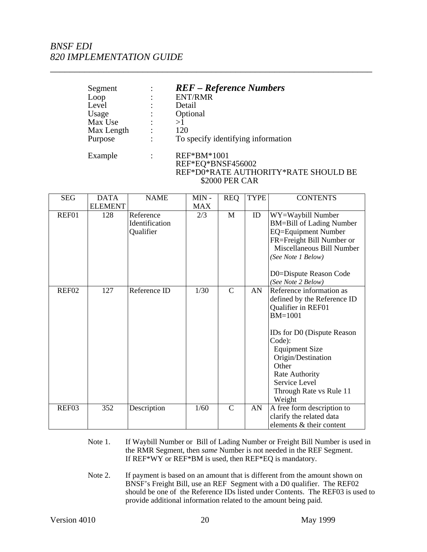| Segment    | $\ddot{\cdot}$ | <b>REF</b> – Reference Numbers     |
|------------|----------------|------------------------------------|
| Loop       | ٠              | <b>ENT/RMR</b>                     |
| Level      | ٠              | Detail                             |
| Usage      | ٠              | Optional                           |
| Max Use    | ٠              |                                    |
| Max Length | ٠              | 120                                |
| Purpose    | ٠              | To specify identifying information |
| Example    |                | <b>REF*BM*1001</b>                 |

\_\_\_\_\_\_\_\_\_\_\_\_\_\_\_\_\_\_\_\_\_\_\_\_\_\_\_\_\_\_\_\_\_\_\_\_\_\_\_\_\_\_\_\_\_\_\_\_\_\_\_\_\_\_\_\_\_\_\_\_\_\_\_\_\_\_

EXample : REF<sup>+</sup>BM<sup>+</sup>1001<br>REF\*EQ\*BNSF456002 REF\*D0\*RATE AUTHORITY\*RATE SHOULD BE \$2000 PER CAR

| <b>SEG</b> | <b>DATA</b>    | <b>NAME</b>                              | MIN-       | <b>REQ</b>    | <b>TYPE</b> | <b>CONTENTS</b>                                                                                                                                                                                                                                                         |
|------------|----------------|------------------------------------------|------------|---------------|-------------|-------------------------------------------------------------------------------------------------------------------------------------------------------------------------------------------------------------------------------------------------------------------------|
|            | <b>ELEMENT</b> |                                          | <b>MAX</b> |               |             |                                                                                                                                                                                                                                                                         |
| REF01      | 128            | Reference<br>Identification<br>Qualifier | 2/3        | M             | ID          | WY=Waybill Number<br><b>BM=Bill of Lading Number</b><br><b>EQ=Equipment Number</b><br>FR=Freight Bill Number or<br>Miscellaneous Bill Number<br>(See Note 1 Below)<br>D0=Dispute Reason Code                                                                            |
|            |                |                                          |            |               |             | (See Note 2 Below)                                                                                                                                                                                                                                                      |
| REF02      | 127            | Reference ID                             | 1/30       | $\mathsf{C}$  | AN          | Reference information as<br>defined by the Reference ID<br>Qualifier in REF01<br>BM=1001<br>IDs for D0 (Dispute Reason<br>Code):<br><b>Equipment Size</b><br>Origin/Destination<br>Other<br><b>Rate Authority</b><br>Service Level<br>Through Rate vs Rule 11<br>Weight |
| REF03      | 352            | Description                              | 1/60       | $\mathcal{C}$ | AN          | A free form description to<br>clarify the related data<br>elements & their content                                                                                                                                                                                      |

#### Note 1. If Waybill Number or Bill of Lading Number or Freight Bill Number is used in the RMR Segment, then *same* Number is not needed in the REF Segment. If REF\*WY or REF\*BM is used, then REF\*EQ is mandatory.

 Note 2. If payment is based on an amount that is different from the amount shown on BNSF's Freight Bill, use an REF Segment with a D0 qualifier. The REF02 should be one of the Reference IDs listed under Contents. The REF03 is used to provide additional information related to the amount being paid.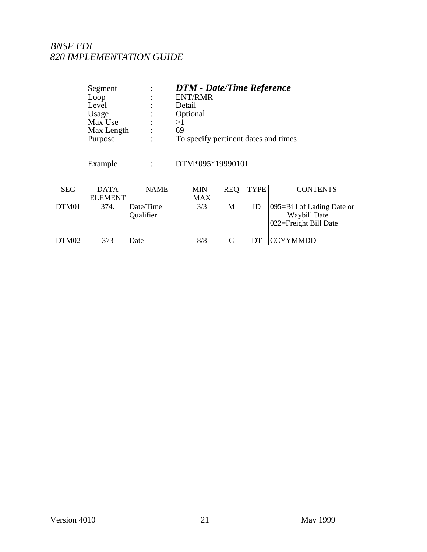| Segment    |   | <b>DTM</b> - Date/Time Reference     |
|------------|---|--------------------------------------|
| Loop       | ٠ | <b>ENT/RMR</b>                       |
| Level      | ٠ | Detail                               |
| Usage      | ٠ | Optional                             |
| Max Use    | ٠ | >1                                   |
| Max Length | ٠ | 69                                   |
| Purpose    | ٠ | To specify pertinent dates and times |

Example : DTM\*095\*19990101

| <b>SEG</b> | <b>DATA</b>    | <b>NAME</b>            | $MIN -$ | <b>REQ</b> | <b>TYPE</b> | <b>CONTENTS</b>                                                             |
|------------|----------------|------------------------|---------|------------|-------------|-----------------------------------------------------------------------------|
|            | <b>ELEMENT</b> |                        | MAX     |            |             |                                                                             |
| DTM01      | 374.           | Date/Time<br>Qualifier | 3/3     | M          |             | $ 095 =$ Bill of Lading Date or<br>Waybill Date<br>$022$ =Freight Bill Date |
| DTM02      | 373            | Date                   | 8/8     |            |             | <b>CCYYMMDD</b>                                                             |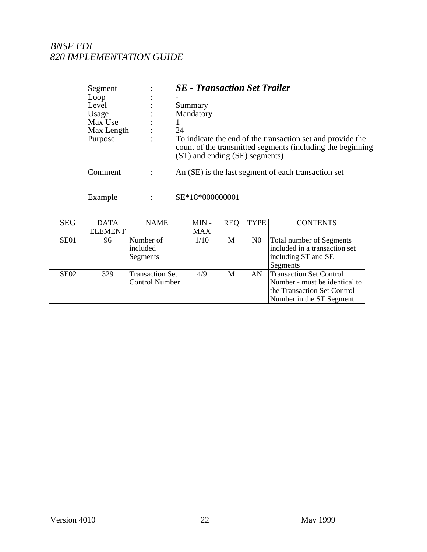|       | Segment    | <b>SE</b> - Transaction Set Trailer                                                                                                                        |
|-------|------------|------------------------------------------------------------------------------------------------------------------------------------------------------------|
| Loop  | $\bullet$  |                                                                                                                                                            |
| Level |            | Summary                                                                                                                                                    |
|       | Usage      | Mandatory                                                                                                                                                  |
|       | Max Use    |                                                                                                                                                            |
|       | Max Length | 24                                                                                                                                                         |
|       | Purpose    | To indicate the end of the transaction set and provide the<br>count of the transmitted segments (including the beginning<br>(ST) and ending (SE) segments) |
|       | Comment    | An (SE) is the last segment of each transaction set                                                                                                        |
|       |            |                                                                                                                                                            |

\_\_\_\_\_\_\_\_\_\_\_\_\_\_\_\_\_\_\_\_\_\_\_\_\_\_\_\_\_\_\_\_\_\_\_\_\_\_\_\_\_\_\_\_\_\_\_\_\_\_\_\_\_\_\_\_\_\_\_\_\_\_\_\_\_\_

Example : SE\*18\*000000001

| <b>SEG</b>       | <b>DATA</b>    | <b>NAME</b>            | $MIN -$    | <b>REQ</b> | <b>TYPE</b>    | <b>CONTENTS</b>                |
|------------------|----------------|------------------------|------------|------------|----------------|--------------------------------|
|                  | <b>ELEMENT</b> |                        | <b>MAX</b> |            |                |                                |
| SE01             | 96             | Number of              | 1/10       | M          | N <sub>0</sub> | Total number of Segments       |
|                  |                | included               |            |            |                | included in a transaction set  |
|                  |                | Segments               |            |            |                | including ST and SE            |
|                  |                |                        |            |            |                | Segments                       |
| SE <sub>02</sub> | 329            | <b>Transaction Set</b> | 4/9        | M          | AN             | <b>Transaction Set Control</b> |
|                  |                | <b>Control Number</b>  |            |            |                | Number - must be identical to  |
|                  |                |                        |            |            |                | the Transaction Set Control    |
|                  |                |                        |            |            |                | Number in the ST Segment       |